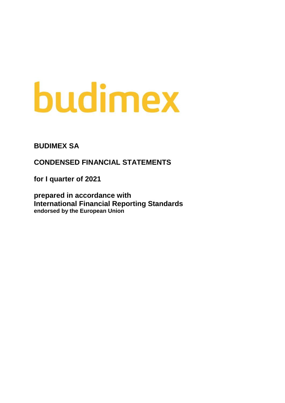# budimex

**BUDIMEX SA**

**CONDENSED FINANCIAL STATEMENTS** 

**for I quarter of 2021**

**prepared in accordance with International Financial Reporting Standards endorsed by the European Union**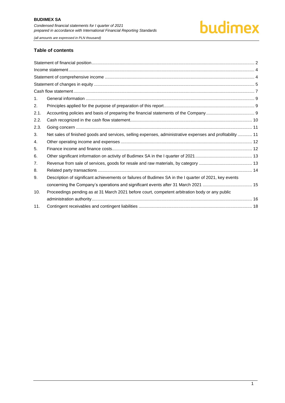

#### **Table of contents**

| 1 <sub>1</sub> |                                                                                                           |  |
|----------------|-----------------------------------------------------------------------------------------------------------|--|
| 2.             |                                                                                                           |  |
| 2.1.           |                                                                                                           |  |
| 2.2.           |                                                                                                           |  |
| 2.3.           |                                                                                                           |  |
| 3.             | Net sales of finished goods and services, selling expenses, administrative expenses and profitability  11 |  |
| 4.             |                                                                                                           |  |
| 5.             |                                                                                                           |  |
| 6.             |                                                                                                           |  |
| 7.             |                                                                                                           |  |
| 8.             |                                                                                                           |  |
| 9.             | Description of significant achievements or failures of Budimex SA in the I quarter of 2021, key events    |  |
|                |                                                                                                           |  |
| 10.            | Proceedings pending as at 31 March 2021 before court, competent arbitration body or any public            |  |
|                |                                                                                                           |  |
| 11.            |                                                                                                           |  |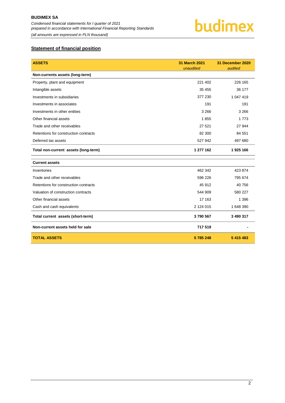

### <span id="page-2-0"></span>**Statement of financial position**

| <b>ASSETS</b>                         | <b>31 March 2021</b><br>unaudited | 31 December 2020<br>audited |
|---------------------------------------|-----------------------------------|-----------------------------|
| Non-currents assets (long-term)       |                                   |                             |
| Property, plant and equipment         | 221 402                           | 226 165                     |
| Intangible assets                     | 35 455                            | 36 177                      |
| Investments in subsidiaries           | 377 230                           | 1 047 419                   |
| Investments in associates             | 191                               | 191                         |
| Investments in other entities         | 3 2 6 6                           | 3 2 6 6                     |
| Other financial assets                | 1855                              | 1 7 7 3                     |
| Trade and other receivables           | 27 5 21                           | 27 944                      |
| Retentions for construction contracts | 82 300                            | 84 551                      |
| Deferred tax assets                   | 527 942                           | 497 680                     |
| Total non-current assets (long-term)  | 1 277 162                         | 1925 166                    |
| <b>Current assets</b>                 |                                   |                             |
| Inventories                           | 462 342                           | 423 874                     |
| Trade and other receivables           | 596 226                           | 795 674                     |
| Retentions for construction contracts | 45 912                            | 40 756                      |
| Valuation of construction contracts   | 544 909                           | 580 227                     |
| Other financial assets                | 17 163                            | 1 3 9 6                     |
| Cash and cash equivalents             | 2 124 015                         | 1 648 390                   |
| Total current assets (short-term)     | 3790567                           | 3 490 317                   |
| Non-current assets held for sale      | 717 519                           |                             |
| <b>TOTAL ASSETS</b>                   | 5785248                           | 5 415 483                   |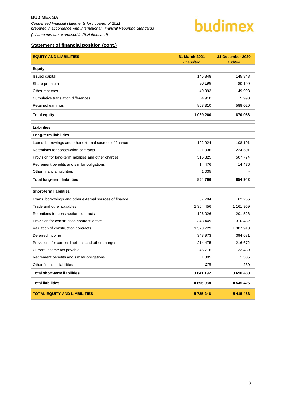*Condensed financial statements for I quarter of 2021 prepared in accordance with International Financial Reporting Standards (all amounts are expressed in PLN thousand)*

budimex

#### **Statement of financial position (cont.)**

| <b>EQUITY AND LIABILITIES</b>                           | 31 March 2021<br>unaudited | 31 December 2020<br>audited |
|---------------------------------------------------------|----------------------------|-----------------------------|
| <b>Equity</b>                                           |                            |                             |
| <b>Issued capital</b>                                   | 145 848                    | 145 848                     |
| Share premium                                           | 80 199                     | 80 199                      |
| Other reserves                                          | 49 993                     | 49 993                      |
| Cumulative translation differences                      | 4910                       | 5998                        |
| Retained earnings                                       | 808 310                    | 588 020                     |
| <b>Total equity</b>                                     | 1 089 260                  | 870 058                     |
| <b>Liabilities</b>                                      |                            |                             |
| Long-term liabilities                                   |                            |                             |
| Loans, borrowings and other external sources of finance | 102 924                    | 108 191                     |
| Retentions for construction contracts                   | 221 036                    | 224 501                     |
| Provision for long-term liabilities and other charges   | 515 325                    | 507 774                     |
| Retirement benefits and similar obligations             | 14 4 76                    | 14 4 76                     |
| Other financial liabilities                             | 1 0 3 5                    |                             |
| <b>Total long-term liabilities</b>                      | 854 796                    | 854 942                     |
| <b>Short-term liabilities</b>                           |                            |                             |
| Loans, borrowings and other external sources of finance | 57 784                     | 62 266                      |
| Trade and other payables                                | 1 304 456                  | 1 161 969                   |
| Retentions for construction contracts                   | 196 026                    | 201 526                     |
| Provision for construction contract losses              | 348 449                    | 310 432                     |
| Valuation of construction contracts                     | 1 323 729                  | 1 307 913                   |
| Deferred income                                         | 348 973                    | 394 681                     |
| Provisions for current liabilities and other charges    | 214 475                    | 216 672                     |
| Current income tax payable                              | 45716                      | 33 489                      |
| Retirement benefits and similar obligations             | 1 3 0 5                    | 1 3 0 5                     |
| Other financial liabilities                             | 279                        | 230                         |
| <b>Total short-term liabilities</b>                     | 3841192                    | 3690483                     |
| <b>Total liabilities</b>                                | 4695988                    | 4 545 425                   |
| <b>TOTAL EQUITY AND LIABILITIES</b>                     | 5785248                    | 5 415 483                   |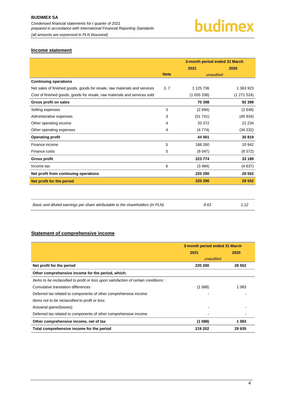#### <span id="page-4-0"></span>**Income statement**

|                                                                           |             | 3-month period ended 31 March |           |  |
|---------------------------------------------------------------------------|-------------|-------------------------------|-----------|--|
|                                                                           |             | 2021                          | 2020      |  |
|                                                                           | <b>Note</b> | unaudited                     |           |  |
| <b>Continuing operations</b>                                              |             |                               |           |  |
| Net sales of finished goods, goods for resale, raw materials and services | 3, 7        | 1 125 736                     | 1 363 923 |  |
| Cost of finished goods, goods for resale, raw materials and services sold |             | (1055338)                     | (1271524) |  |
| Gross profit on sales                                                     |             | 70 398                        | 92 399    |  |
| Selling expenses                                                          | 3           | (2694)                        | (2648)    |  |
| Administrative expenses                                                   | 3           | (51741)                       | (45934)   |  |
| Other operating income                                                    | 4           | 33 372                        | 21 234    |  |
| Other operating expenses                                                  | 4           | (4774)                        | (34 232)  |  |
| <b>Operating profit</b>                                                   |             | 44 561                        | 30 819    |  |
| Finance income                                                            | 5           | 188 260                       | 10 942    |  |
| Finance costs                                                             | 5           | (9047)                        | (8572)    |  |
| <b>Gross profit</b>                                                       |             | 223 774                       | 33 189    |  |
| Income tax                                                                | 6           | (3.484)                       | (4637)    |  |
| Net profit from continuing operations                                     |             | 220 290                       | 28 552    |  |
| Net profit for the period                                                 |             | 220 290                       | 28 552    |  |
|                                                                           |             |                               |           |  |

| Basic and diluted earnings per share attributable to the shareholders (in PLN) | 8.63 | 1.12 |
|--------------------------------------------------------------------------------|------|------|
|--------------------------------------------------------------------------------|------|------|

#### <span id="page-4-1"></span>**Statement of comprehensive income**

|                                                                                       | 3-month period ended 31 March |         |  |
|---------------------------------------------------------------------------------------|-------------------------------|---------|--|
|                                                                                       | 2021                          | 2020    |  |
|                                                                                       | unaudited                     |         |  |
| Net profit for the period                                                             | 220 290                       | 28 5 52 |  |
| Other comprehensive income for the period, which:                                     |                               |         |  |
| Items to be reclassified to profit or loss upon satisfaction of certain conditions: : |                               |         |  |
| Cumulative translation differences                                                    | (1088)                        | 1 0 8 3 |  |
| Deferred tax related to components of other comprehensive income                      |                               |         |  |
| Items not to be reclassified to profit or loss:                                       |                               |         |  |
| Actuarial gains/(losses)                                                              |                               |         |  |
| Deferred tax related to components of other comprehensive income                      |                               |         |  |
| Other comprehensive income, net of tax                                                | (1088)                        | 1083    |  |
| Total comprehensive income for the period                                             | 219 202                       | 29 635  |  |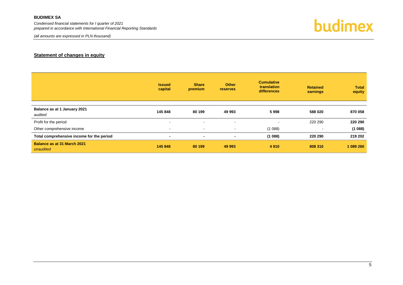*Condensed financial statements for I quarter of 2021 prepared in accordance with International Financial Reporting Standards*

*(all amounts are expressed in PLN thousand)*



#### **Statement of changes in equity**

<span id="page-5-0"></span>

|                                           | <b>Issued</b><br>capital | <b>Share</b><br>premium  | <b>Other</b><br><b>reserves</b> | <b>Cumulative</b><br>translation<br><b>differences</b> | <b>Retained</b><br>earnings | <b>Total</b><br>equity |
|-------------------------------------------|--------------------------|--------------------------|---------------------------------|--------------------------------------------------------|-----------------------------|------------------------|
|                                           |                          |                          |                                 |                                                        |                             |                        |
| Balance as at 1 January 2021<br>audited   | 145 848                  | 80 199                   | 49 993                          | 5998                                                   | 588 020                     | 870 058                |
| Profit for the period                     | $\,$ $\,$                | $\overline{\phantom{a}}$ | $\blacksquare$                  | $\overline{\phantom{a}}$                               | 220 290                     | 220 290                |
| Other comprehensive income                | $\sim$                   | $\sim$                   | $\sim$                          | (1088)                                                 | $\,$                        | (1088)                 |
| Total comprehensive income for the period | $\blacksquare$           | $\blacksquare$           | $\blacksquare$                  | (1088)                                                 | 220 290                     | 219 202                |
| Balance as at 31 March 2021<br>unaudited  | 145 848                  | 80 199                   | 49 993                          | 4 9 1 0                                                | 808 310                     | 1 089 260              |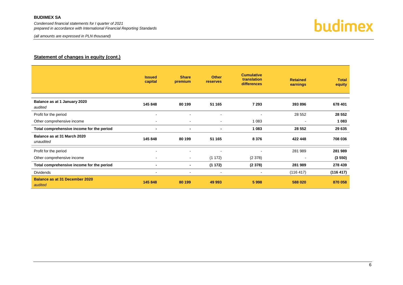*Condensed financial statements for I quarter of 2021 prepared in accordance with International Financial Reporting Standards*

*(all amounts are expressed in PLN thousand)*



#### **Statement of changes in equity (cont.)**

|                                                  | <b>Issued</b><br>capital | <b>Share</b><br>premium  | <b>Other</b><br><b>reserves</b> | <b>Cumulative</b><br>translation<br>differences | <b>Retained</b><br>earnings | <b>Total</b><br>equity |
|--------------------------------------------------|--------------------------|--------------------------|---------------------------------|-------------------------------------------------|-----------------------------|------------------------|
| Balance as at 1 January 2020<br>audited          | 145 848                  | 80 199                   | 51 165                          | 7 2 9 3                                         | 393 896                     | 678 401                |
| Profit for the period                            | $\overline{\phantom{a}}$ | $\overline{\phantom{a}}$ | $\blacksquare$                  | ٠                                               | 28 5 52                     | 28 552                 |
| Other comprehensive income                       | $\blacksquare$           | $\blacksquare$           | $\sim$                          | 1 0 8 3                                         | $\overline{\phantom{a}}$    | 1 0 8 3                |
| Total comprehensive income for the period        | $\blacksquare$           | $\blacksquare$           | $\blacksquare$                  | 1 0 8 3                                         | 28 5 52                     | 29 635                 |
| Balance as at 31 March 2020<br>unaudited         | 145 848                  | 80 199                   | 51 165                          | 8 3 7 6                                         | 422 448                     | 708 036                |
| Profit for the period                            | $\overline{\phantom{a}}$ | $\blacksquare$           | $\overline{\phantom{a}}$        | $\overline{\phantom{a}}$                        | 281 989                     | 281 989                |
| Other comprehensive income                       | $\overline{\phantom{a}}$ | $\sim$                   | (1 172)                         | (2378)                                          |                             | (3550)                 |
| Total comprehensive income for the period        | $\blacksquare$           | ۰.                       | (1172)                          | (2378)                                          | 281 989                     | 278 439                |
| <b>Dividends</b>                                 | $\blacksquare$           | $\blacksquare$           | $\sim$                          | $\blacksquare$                                  | (116 417)                   | (116 417)              |
| <b>Balance as at 31 December 2020</b><br>audited | 145 848                  | 80 199                   | 49 993                          | 5998                                            | 588 020                     | 870 058                |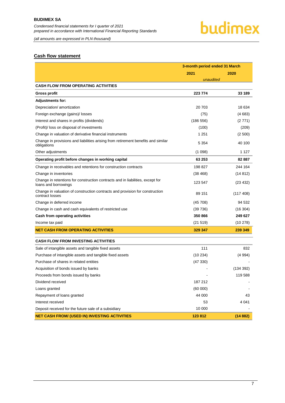*(all amounts are expressed in PLN thousand)*

### budimex

#### <span id="page-7-0"></span>**Cash flow statement**

|                                                                                                        | 3-month period ended 31 March |           |  |
|--------------------------------------------------------------------------------------------------------|-------------------------------|-----------|--|
|                                                                                                        | 2021                          | 2020      |  |
|                                                                                                        | unaudited                     |           |  |
| CASH FLOW FROM OPERATING ACTIVITIES                                                                    |                               |           |  |
| Gross profit                                                                                           | 223 774                       | 33 189    |  |
| <b>Adjustments for:</b>                                                                                |                               |           |  |
| Depreciation/ amortization                                                                             | 20 703                        | 18 634    |  |
| Foreign exchange (gains)/ losses                                                                       | (75)                          | (4683)    |  |
| Interest and shares in profits (dividends)                                                             | (186 556)                     | (2771)    |  |
| (Profit)/ loss on disposal of investments                                                              | (100)                         | (209)     |  |
| Change in valuation of derivative financial instruments                                                | 1 2 5 1                       | (2500)    |  |
| Change in provisions and liabilities arising from retirement benefits and similar<br>obligations       | 5 3 5 4                       | 40 100    |  |
| Other adjustments                                                                                      | (1098)                        | 1 1 2 7   |  |
| Operating profit before changes in working capital                                                     | 63 253                        | 82 887    |  |
| Change in receivables and retentions for construction contracts                                        | 198 827                       | 244 164   |  |
| Change in inventories                                                                                  | (38 468)                      | (14812)   |  |
| Change in retentions for construction contracts and in liabilities, except for<br>loans and borrowings | 123 547                       | (23 432)  |  |
| Change in valuation of construction contracts and provision for construction<br>contract losses        | 89 151                        | (117 408) |  |
| Change in deferred income                                                                              | (45708)                       | 94 532    |  |
| Change in cash and cash equivalents of restricted use                                                  | (39736)                       | (16304)   |  |
| Cash from operating activities                                                                         | 350 866                       | 249 627   |  |
| Income tax paid                                                                                        | (21 519)                      | (10278)   |  |
| <b>NET CASH FROM OPERATING ACTIVITIES</b>                                                              | 329 347                       | 239 349   |  |
| <b>CASH FLOW FROM INVESTING ACTIVITIES</b>                                                             |                               |           |  |
| Sale of intangible assets and tangible fixed assets                                                    | 111                           | 832       |  |
| Purchase of intangible assets and tangible fixed assets                                                | (10234)                       | (4994)    |  |
| Purchase of shares in related entities                                                                 | (47330)                       |           |  |
| Acquisition of bonds issued by banks                                                                   |                               | (134 392) |  |
| Proceeds from bonds issued by banks                                                                    |                               | 119 588   |  |
| Dividend received                                                                                      | 187 212                       |           |  |
| Loans granted                                                                                          | (60 000)                      |           |  |
| Repayment of loans granted                                                                             | 44 000                        | 43        |  |
| Interest received                                                                                      | 53                            | 4 041     |  |
| Deposit received for the future sale of a subsidiary                                                   | 10 000                        |           |  |
| <b>NET CASH FROM/ (USED IN) INVESTING ACTIVITIES</b>                                                   | 123 812                       | (14882)   |  |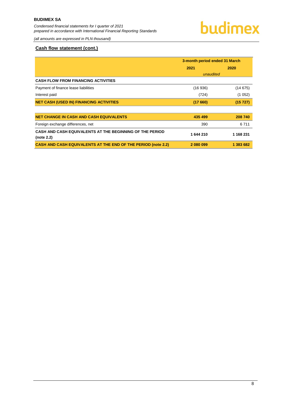*(all amounts are expressed in PLN thousand)*

#### **Cash flow statement (cont.)**

|                                                                        | 3-month period ended 31 March |           |  |
|------------------------------------------------------------------------|-------------------------------|-----------|--|
|                                                                        | 2021                          | 2020      |  |
|                                                                        | unaudited                     |           |  |
| <b>CASH FLOW FROM FINANCING ACTIVITIES</b>                             |                               |           |  |
| Payment of finance lease liabilities                                   | (16936)                       | (14675)   |  |
| Interest paid                                                          | (724)                         | (1052)    |  |
| <b>NET CASH (USED IN) FINANCING ACTIVITIES</b>                         | (17660)                       | (15 727)  |  |
| <b>NET CHANGE IN CASH AND CASH EQUIVALENTS</b>                         | 435 499                       | 208 740   |  |
| Foreign exchange differences, net                                      | 390                           | 6 7 1 1   |  |
| CASH AND CASH EQUIVALENTS AT THE BEGINNING OF THE PERIOD<br>(note 2.2) | 1644210                       | 1 168 231 |  |
| <b>CASH AND CASH EQUIVALENTS AT THE END OF THE PERIOD (note 2.2)</b>   | 2 080 099                     | 1 383 682 |  |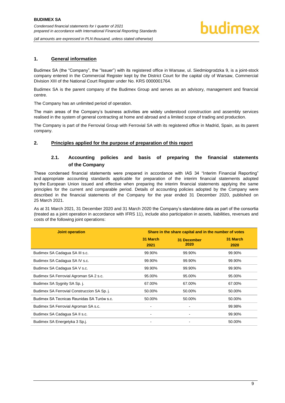#### <span id="page-9-0"></span>**1. General information**

Budimex SA (the "Company", the "Issuer") with its registered office in Warsaw, ul. Siedmiogrodzka 9, is a joint-stock company entered in the Commercial Register kept by the District Court for the capital city of Warsaw, Commercial Division XIII of the National Court Register under No. KRS 0000001764.

Budimex SA is the parent company of the Budimex Group and serves as an advisory, management and financial centre.

The Company has an unlimited period of operation.

The main areas of the Company's business activities are widely understood construction and assembly services realised in the system of general contracting at home and abroad and a limited scope of trading and production.

The Company is part of the Ferrovial Group with Ferrovial SA with its registered office in Madrid, Spain, as its parent company.

#### <span id="page-9-2"></span><span id="page-9-1"></span>**2. Principles applied for the purpose of preparation of this report**

#### **2.1. Accounting policies and basis of preparing the financial statements of the Company**

These condensed financial statements were prepared in accordance with IAS 34 "Interim Financial Reporting" and appropriate accounting standards applicable for preparation of the interim financial statements adopted by the European Union issued and effective when preparing the interim financial statements applying the same principles for the current and comparable period. Details of accounting policies adopted by the Company were described in the financial statements of the Company for the year ended 31 December 2020, published on 25 March 2021.

As at 31 March 2021, 31 December 2020 and 31 March 2020 the Company's standalone data as part of the consortia (treated as a joint operation in accordance with IFRS 11), include also participation in assets, liabilities, revenues and costs of the following joint operations:

| <b>Joint operation</b>                      | Share in the share capital and in the number of votes |                     |                  |
|---------------------------------------------|-------------------------------------------------------|---------------------|------------------|
|                                             | 31 March<br>2021                                      | 31 December<br>2020 | 31 March<br>2020 |
| Budimex SA Cadagua SA III s.c.              | 99.90%                                                | 99.90%              | 99.90%           |
| Budimex SA Cadagua SA IV s.c.               | 99.90%                                                | 99.90%              | 99.90%           |
| Budimex SA Cadagua SA V s.c.                | 99.90%                                                | 99.90%              | 99.90%           |
| Budimex SA Ferrovial Agroman SA 2 s.c.      | 95.00%                                                | 95.00%              | 95.00%           |
| Budimex SA Sygnity SA Sp. j.                | 67.00%                                                | 67.00%              | 67.00%           |
| Budimex SA Ferrovial Construccion SA Sp. j. | 50.00%                                                | 50.00%              | 50.00%           |
| Budimex SA Tecnicas Reunidas SA Turów s.c.  | 50.00%                                                | 50.00%              | 50.00%           |
| Budimex SA Ferrovial Agroman SA s.c.        |                                                       |                     | 99.98%           |
| Budimex SA Cadagua SA II s.c.               | $\qquad \qquad \blacksquare$                          |                     | 99.90%           |
| Budimex SA Energetyka 3 Sp.j.               | $\blacksquare$                                        |                     | 50.00%           |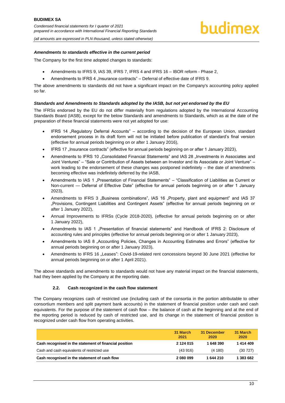*(all amounts are expressed in PLN thousand, unless stated otherwise)*

#### *Amendments to standards effective in the current period*

The Company for the first time adopted changes to standards:

- Amendments to IFRS 9, IAS 39, IFRS 7, IFRS 4 and IFRS 16 IBOR reform Phase 2,
- Amendments to IFRS 4 "Insurance contracts" Deferral of effective date of IFRS 9.

The above amendments to standards did not have a significant impact on the Company's accounting policy applied so far.

#### *Standards and Amendments to Standards adopted by the IASB, but not yet endorsed by the EU*

The IFRSs endorsed by the EU do not differ materially from regulations adopted by the International Accounting Standards Board (IASB), except for the below Standards and amendments to Standards, which as at the date of the preparation of these financial statements were not yet adopted for use:

- IFRS 14 "Regulatory Deferral Accounts" according to the decision of the European Union, standard endorsement process in its draft form will not be initiated before publication of standard's final version (effective for annual periods beginning on or after 1 January 2016),
- IFRS 17 "Insurance contracts" (effective for annual periods beginning on or after 1 January 2023),
- Amendments to IFRS 10 "Consolidated Financial Statements" and IAS 28 "Investments in Associates and Joint Ventures" – "Sale or Contribution of Assets between an Investor and its Associate or Joint Venture" – work leading to the endorsement of these changes was postponed indefinitely – the date of amendments becoming effective was indefinitely deferred by the IASB,
- Amendments to IAS 1 "Presentation of Financial Statements" "Classification of Liabilities as Current or Non-current — Deferral of Effective Date" (effective for annual periods beginning on or after 1 January 2023),
- Amendments to IFRS 3 "Business combinations", IAS 16 "Property, plant and equipment" and IAS 37 "Provisions, Contingent Liabilities and Contingent Assets" (effective for annual periods beginning on or after 1 January 2022),
- Annual Improvements to IFRSs (Cycle 2018-2020), (effective for annual periods beginning on or after 1 January 2022),
- Amendments to IAS 1 "Presentation of financial statements" and Handbook of IFRS 2: Disclosure of accounting rules and principles (effective for annual periods beginning on or after 1 January 2023),
- Amendments to IAS 8 "Accounting Policies, Changes in Accounting Estimates and Errors" (effective for annual periods beginning on or after 1 January 2023),
- Amendments to IFRS 16 "Leases": Covid-19-related rent concessions beyond 30 June 2021 (effective for annual periods beginning on or after 1 April 2021).

The above standards and amendments to standards would not have any material impact on the financial statements, had they been applied by the Company at the reporting date.

#### **2.2. Cash recognized in the cash flow statement**

<span id="page-10-0"></span>The Company recognizes cash of restricted use (including cash of the consortia in the portion attributable to other consortium members and split payment bank accounts) in the statement of financial position under cash and cash equivalents. For the purpose of the statement of cash flow – the balance of cash at the beginning and at the end of the reporting period is reduced by cash of restricted use, and its change in the statement of financial position is recognized under cash flow from operating activities.

|                                                        | 31 March<br>2021 | 31 December<br>2020 | 31 March<br>2020 |
|--------------------------------------------------------|------------------|---------------------|------------------|
| Cash recognised in the statement of financial position | 2 124 015        | 648 390             | 1414409          |
| Cash and cash equivalents of restricted use            | (43916)          | (4180)              | (30727)          |
| Cash recognised in the statement of cash flow          | 2 080 099        | 1644210             | 383 682          |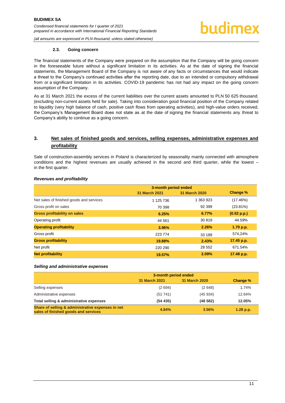#### **2.3. Going concern**

<span id="page-11-0"></span>The financial statements of the Company were prepared on the assumption that the Company will be going concern in the foreseeable future without a significant limitation in its activities. As at the date of signing the financial statements, the Management Board of the Company is not aware of any facts or circumstances that would indicate a threat to the Company's continued activities after the reporting date, due to an intended or compulsory withdrawal from or a significant limitation in its activities. COVID-19 pandemic has not had any impact on the going concern assumption of the Company.

As at 31 March 2021 the excess of the current liabilities over the current assets amounted to PLN 50 625 thousand. (excluding non-current assets held for sale). Taking into consideration good financial position of the Company related to liquidity (very high balance of cash, positive cash flows from operating activities), and high-value orders received, the Company's Management Board does not state as at the date of signing the financial statements any threat to Company's ability to continue as a going concern.

#### <span id="page-11-1"></span>**3. Net sales of finished goods and services, selling expenses, administrative expenses and profitability**

Sale of construction-assembly services in Poland is characterized by seasonality mainly connected with atmosphere conditions and the highest revenues are usually achieved in the second and third quarter, while the lowest – in the first quarter.

#### *Revenues and profitability*

|                                          | 3-month period ended |               |             |
|------------------------------------------|----------------------|---------------|-------------|
|                                          | 31 March 2021        | 31 March 2020 | Change %    |
| Net sales of finished goods and services | 1 125 736            | 1 363 923     | (17.46%)    |
| Gross profit on sales                    | 70 398               | 92 399        | $(23.81\%)$ |
| <b>Gross profitability on sales</b>      | 6.25%                | 6.77%         | (0.52 p.p.) |
| Operating profit                         | 44 561               | 30 819        | 44.59%      |
| <b>Operating profitability</b>           | 3.96%                | 2.26%         | 1.70 p.p.   |
| Gross profit                             | 223 774              | 33 189        | 574,24%     |
| <b>Gross profitability</b>               | 19.88%               | 2.43%         | 17.45 p.p.  |
| Net profit                               | 220 290              | 28 552        | 671.54%     |
| <b>Net profitability</b>                 | 19.57%               | 2.09%         | 17.48 p.p.  |

#### *Selling and administrative expenses*

<span id="page-11-2"></span>

|                                                                                           | 3-month period ended |                      |             |
|-------------------------------------------------------------------------------------------|----------------------|----------------------|-------------|
|                                                                                           | <b>31 March 2021</b> | <b>31 March 2020</b> | Change %    |
| Selling expenses                                                                          | (2694)               | (2648)               | 1.74%       |
| Administrative expenses                                                                   | (51741)              | (45934)              | 12.64%      |
| Total selling & administrative expenses                                                   | (54435)              | (48582)              | 12.05%      |
| Share of selling & administrative expenses in net<br>sales of finished goods and services | 4.84%                | 3.56%                | $1.28$ p.p. |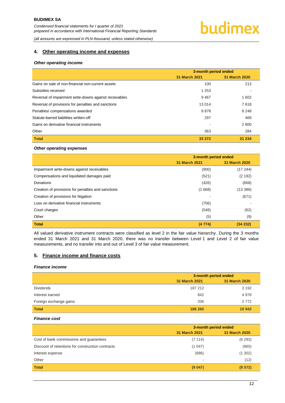### budimex

*(all amounts are expressed in PLN thousand, unless stated otherwise)*

#### **4. Other operating income and expenses**

#### *Other operating income*

|                                                        | 3-month period ended            |               |
|--------------------------------------------------------|---------------------------------|---------------|
|                                                        | 31 March 2021 <b>March 2021</b> | 31 March 2020 |
| Gains on sale of non-financial non-current assets      | 100                             | 213           |
| Subsidies received                                     | 1 2 5 3                         |               |
| Reversal of impairment write-downs against receivables | 9467                            | 1 602         |
| Reversal of provisions for penalties and sanctions     | 13 0 14                         | 7618          |
| Penalties/compensations awarded                        | 8878                            | 8 2 4 8       |
| Statute-barred liabilities written-off                 | 297                             | 469           |
| Gains on derivative financial instruments              |                                 | 2 8 0 0       |
| Other                                                  | 363                             | 284           |
| <b>Total</b>                                           | 33 372                          | 21 234        |

#### *Other operating expenses*

|                                                    | 3-month period ended |               |
|----------------------------------------------------|----------------------|---------------|
|                                                    | 31 March 2021        | 31 March 2020 |
| Impairment write-downs against receivables         | (900)                | (17 244)      |
| Compensations and liquidated damages paid          | (521)                | (2 192)       |
| Donations                                          | (426)                | (668)         |
| Creation of provisions for penalties and sanctions | (1668)               | (13 386)      |
| Creation of provisions for litigation              |                      | (671)         |
| Loss on derivative financial instruments           | (706)                |               |
| Court charges                                      | (548)                | (62)          |
| Other                                              | (5)                  | (9)           |
| <b>Total</b>                                       | (4774)               | (34 232)      |

All valued derivative instrument contracts were classified as level 2 in the fair value hierarchy. During the 3 months ended 31 March 2021 and 31 March 2020, there was no transfer between Level 1 and Level 2 of fair value measurements, and no transfer into and out of Level 3 of fair value measurement.

#### <span id="page-12-0"></span>**5. Finance income and finance costs**

#### *Finance income*

|                        | 3-month period ended |               |
|------------------------|----------------------|---------------|
|                        | 31 March 2021        | 31 March 2020 |
| <b>Dividends</b>       | 187 212              | 3 1 9 2       |
| Interest earned        | 842                  | 4978          |
| Foreign exchange gains | 206                  | 2 7 7 2       |
| <b>Total</b>           | 188 260              | 10 942        |

#### *Finance cost*

|                                                   | 3-month period ended |                      |
|---------------------------------------------------|----------------------|----------------------|
|                                                   | <b>31 March 2021</b> | <b>31 March 2020</b> |
| Cost of bank commissions and guarantees           | (7114)               | (6293)               |
| Discount of retentions for construction contracts | (1047)               | (965)                |
| Interest expense                                  | (886)                | (1302)               |
| Other                                             | ۰                    | (12)                 |
| <b>Total</b>                                      | (9047)               | (8572)               |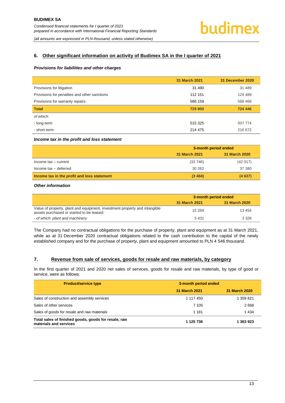

#### <span id="page-13-0"></span>**6. Other significant information on activity of Budimex SA in the I quarter of 2021**

#### *Provisions for liabilities and other charges*

|                                              | 31 March 2021 | 31 December 2020 |
|----------------------------------------------|---------------|------------------|
| Provisions for litigation                    | 31 490        | 31 489           |
| Provisions for penalties and other sanctions | 112 151       | 124 489          |
| Provisions for warranty repairs              | 586 159       | 568 468          |
| <b>Total</b>                                 | 729 800       | 724 446          |
| of which:                                    |               |                  |
| - long-term                                  | 515 325       | 507 774          |
| - short-term                                 | 214 475       | 216 672          |

#### *Income tax in the profit and loss statement*

|                                             | 3-month period ended |               |
|---------------------------------------------|----------------------|---------------|
|                                             | 31 March 2021        | 31 March 2020 |
| Income $tax - current$                      | (33746)              | (42017)       |
| Income tax - deferred                       | 30 26 2              | 37 380        |
| Income tax in the profit and loss statement | (3, 484)             | (4637)        |

#### *Other information*

|                                                                                                                         | 3-month period ended |               |
|-------------------------------------------------------------------------------------------------------------------------|----------------------|---------------|
|                                                                                                                         | 31 March 2021        | 31 March 2020 |
| Value of property, plant and equipment, investment property and intangible<br>assets purchased or started to be leased: | 15 2 69              | 13 4 54       |
| - of which: plant and machinery                                                                                         | 5431                 | 3 3 2 6       |

The Company had no contractual obligations for the purchase of property, plant and equipment as at 31 March 2021, while as at 31 December 2020 contractual obligations related to the cash contribution to the capital of the newly established company and for the purchase of property, plant and equipment amounted to PLN 4 546 thousand.

#### <span id="page-13-1"></span>**7. Revenue from sale of services, goods for resale and raw materials, by category**

In the first quarter of 2021 and 2020 net sales of services, goods for resale and raw materials, by type of good or service, were as follows:

| <b>Product/service type</b>                                                    | 3-month period ended |               |
|--------------------------------------------------------------------------------|----------------------|---------------|
|                                                                                | 31 March 2021        | 31 March 2020 |
| Sales of construction and assembly services                                    | 1 117 450            | 1 359 821     |
| Sales of other services                                                        | 7 105                | 2668          |
| Sales of goods for resale and raw materials                                    | 1 1 8 1              | 1 4 3 4       |
| Total sales of finished goods, goods for resale, raw<br>materials and services | 1 125 736            | 1 363 923     |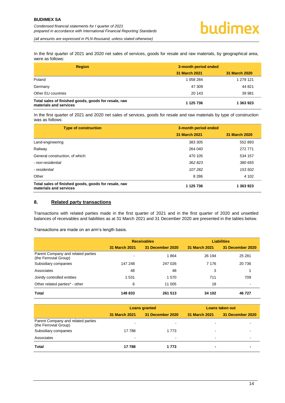In the first quarter of 2021 and 2020 net sales of services, goods for resale and raw materials, by geographical area, were as follows:

| <b>Region</b>                                                                  | 3-month period ended |               |  |
|--------------------------------------------------------------------------------|----------------------|---------------|--|
|                                                                                | 31 March 2021        | 31 March 2020 |  |
| Poland                                                                         | 1 058 284            | 1 279 121     |  |
| Germany                                                                        | 47 309               | 44 821        |  |
| Other EU countries                                                             | 20 143               | 39 981        |  |
| Total sales of finished goods, goods for resale, raw<br>materials and services | 1 125 736            | 1 363 923     |  |

In the first quarter of 2021 and 2020 net sales of services, goods for resale and raw materials by type of construction was as follows:

| <b>Type of construction</b>                                                    | 3-month period ended |               |  |
|--------------------------------------------------------------------------------|----------------------|---------------|--|
|                                                                                | 31 March 2021        | 31 March 2020 |  |
| Land-engineering                                                               | 383 305              | 552 893       |  |
| Railway                                                                        | 264 040              | 272 771       |  |
| General construction, of which:                                                | 470 105              | 534 157       |  |
| - non-residential                                                              | 362 823              | 380 655       |  |
| - residential                                                                  | 107282               | 153 502       |  |
| Other                                                                          | 8 2 8 6              | 4 102         |  |
| Total sales of finished goods, goods for resale, raw<br>materials and services | 1 1 2 5 7 3 6        | 1 363 923     |  |

#### <span id="page-14-0"></span>**8. Related party transactions**

Transactions with related parties made in the first quarter of 2021 and in the first quarter of 2020 and unsettled balances of receivables and liabilities as at 31 March 2021 and 31 December 2020 are presented in the tables below.

Transactions are made on an arm's length basis.

|                                                             | <b>Receivables</b>   |                  | <b>Liabilities</b> |                  |
|-------------------------------------------------------------|----------------------|------------------|--------------------|------------------|
|                                                             | <b>31 March 2021</b> | 31 December 2020 | 31 March 2021      | 31 December 2020 |
| Parent Company and related parties<br>(the Ferrovial Group) |                      | 1864             | 26 194             | 25 281           |
| Subsidiary companies                                        | 147 248              | 247 026          | 7 1 7 6            | 20 736           |
| Associates                                                  | 48                   | 48               | 3                  |                  |
| Jointly controlled entities                                 | -531                 | 1570             | 711                | 709              |
| Other related parties* - other                              | 6                    | 11 005           | 18                 |                  |
| Total                                                       | 148 833              | 261 513          | 34 102             | 46 727           |

|                                                             | <b>Loans granted</b> |                  | Loans taken out |                  |
|-------------------------------------------------------------|----------------------|------------------|-----------------|------------------|
|                                                             | <b>31 March 2021</b> | 31 December 2020 | 31 March 2021   | 31 December 2020 |
| Parent Company and related parties<br>(the Ferrovial Group) |                      |                  |                 |                  |
| Subsidiary companies                                        | 17788                | 1 7 7 3          |                 |                  |
| Associates                                                  | $\blacksquare$       | $\blacksquare$   |                 | -                |
| <b>Total</b>                                                | 17 788               | 1 773            |                 |                  |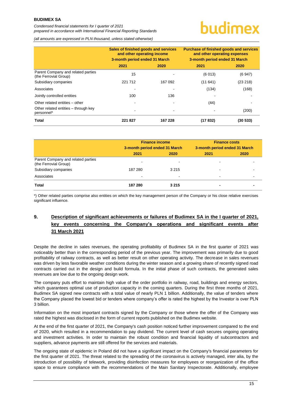*Condensed financial statements for I quarter of 2021 prepared in accordance with International Financial Reporting Standards*

## uudimex

*(all amounts are expressed in PLN thousand, unless stated otherwise)*

|                                                             | Sales of finished goods and services<br>and other operating income<br>3-month period ended 31 March |         | <b>Purchase of finished goods and services</b><br>and other operating expenses<br>3-month period ended 31 March |          |
|-------------------------------------------------------------|-----------------------------------------------------------------------------------------------------|---------|-----------------------------------------------------------------------------------------------------------------|----------|
|                                                             | 2021                                                                                                | 2020    | 2021                                                                                                            | 2020     |
| Parent Company and related parties<br>(the Ferrovial Group) | 15                                                                                                  |         | (6013)                                                                                                          | (6947)   |
| Subsidiary companies                                        | 221 712                                                                                             | 167 092 | (11641)                                                                                                         | (23 218) |
| Associates                                                  |                                                                                                     |         | (134)                                                                                                           | (168)    |
| Jointly controlled entities                                 | 100                                                                                                 | 136     |                                                                                                                 |          |
| Other related entities - other                              |                                                                                                     |         | (44)                                                                                                            |          |
| Other related entities - through key<br>personnel*          |                                                                                                     | ۰       |                                                                                                                 | (200)    |
| Total                                                       | 221827                                                                                              | 167 228 | (17832)                                                                                                         | (30 533) |

|                                                             | <b>Finance income</b><br>3-month period ended 31 March |           | <b>Finance costs</b><br>3-month period ended 31 March |      |
|-------------------------------------------------------------|--------------------------------------------------------|-----------|-------------------------------------------------------|------|
|                                                             | 2021                                                   | 2020      | 2021                                                  | 2020 |
| Parent Company and related parties<br>(the Ferrovial Group) | $\overline{\phantom{0}}$                               | -         |                                                       |      |
| Subsidiary companies                                        | 187 280                                                | 3 2 1 5   |                                                       |      |
| Associates                                                  | $\blacksquare$                                         | $\,$ $\,$ | $\overline{\phantom{0}}$                              |      |
| Total                                                       | 187 280                                                | 3 2 1 5   |                                                       |      |

\*) Other related parties comprise also entities on which the key management person of the Company or his close relative exercises significant influence.

#### <span id="page-15-0"></span>**9. Description of significant achievements or failures of Budimex SA in the I quarter of 2021, key events concerning the Company's operations and significant events after 31 March 2021**

Despite the decline in sales revenues, the operating profitability of Budimex SA in the first quarter of 2021 was noticeably better than in the corresponding period of the previous year. The improvement was primarily due to good profitability of railway contracts, as well as better result on other operating activity. The decrease in sales revenues was driven by less favorable weather conditions during the winter season and a growing share of recently signed road contracts carried out in the design and build formula. In the initial phase of such contracts, the generated sales revenues are low due to the ongoing design work.

The company puts effort to maintain high value of the order portfolio in railway, road, buildings and energy sectors, which guarantees optimal use of production capacity in the coming quarters. During the first three months of 2021, Budimex SA signed new contracts with a total value of nearly PLN 1 billion. Additionally, the value of tenders where the Company placed the lowest bid or tenders where company's offer is rated the highest by the Investor is over PLN 3 billion.

Information on the most important contracts signed by the Company or those where the offer of the Company was rated the highest was disclosed in the form of current reports published on the Budimex website.

At the end of the first quarter of 2021, the Company's cash position noticed further improvement compared to the end of 2020, which resulted in a recommendation to pay dividend. The current level of cash secures ongoing operating and investment activities. In order to maintain the robust condition and financial liquidity of subcontractors and suppliers, advance payments are still offered for the services and materials.

The ongoing state of epidemic in Poland did not have a significant impact on the Company's financial parameters for the first quarter of 2021. The threat related to the spreading of the coronavirus is actively managed, inter alia, by the introduction of possibility of telework, providing disinfection measures for employees or reorganization of the office space to ensure compliance with the recommendations of the Main Sanitary Inspectorate. Additionally, employee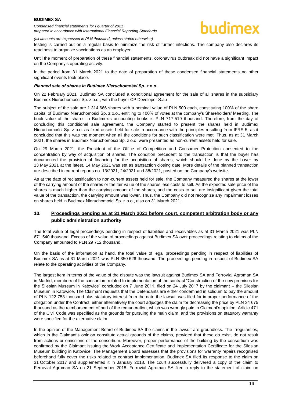*(all amounts are expressed in PLN thousand, unless stated otherwise)*

testing is carried out on a regular basis to minimize the risk of further infections. The company also declares its readiness to organize vaccinations as an employer.

Until the moment of preparation of these financial statements, coronavirus outbreak did not have a significant impact on the Company's operating activity.

In the period from 31 March 2021 to the date of preparation of these condensed financial statements no other significant events took place.

#### *Planned sale of shares in Budimex Nieruchomości Sp. z o.o.*

On 22 February 2021, Budimex SA concluded a conditional agreement for the sale of all shares in the subsidiary Budimex Nieruchomości Sp. z o.o., with the buyer CP Developer S.a.r.l.

The subject of the sale are 1 314 666 shares with a nominal value of PLN 500 each, constituting 100% of the share capital of Budimex Nieruchomości Sp. z o.o., entitling to 100% of votes at the company's Shareholders' Meeting. The book value of the shares in Budimex's accounting books is PLN 717 519 thousand. Therefore, from the day of concluding this conditional sale agreement, the Company started to present the shares held in Budimex Nieruchomości Sp. z o.o. as fixed assets held for sale in accordance with the principles resulting from IFRS 5, as it concluded that this was the moment when all the conditions for such classification were met. Thus, as at 31 March 2021, the shares in Budimex Nieruchomości Sp. z o.o. were presented as non-current assets held for sale.

On 29 March 2021, the President of the Office of Competition and Consumer Protection consented to the concentration by way of acquisition of shares. The condition precedent to the transaction is that the buyer has documented the provision of financing for the acquisition of shares, which should be done by the buyer by 13 May 2021 at the latest. 14 May 2021 was set as transaction closing date. More details of the planned transaction are described in current reports no. 13/2021, 24/2021 and 38/2021, posted on the Company's website.

As at the date of reclassification to non-current assets held for sale, the Company measured the shares at the lower of the carrying amount of the shares or the fair value of the shares less costs to sell. As the expected sale price of the shares is much higher than the carrying amount of the shares, and the costs to sell are insignificant given the total value of the transaction, the carrying amount was lower. Thus, the Company did not recognize any impairment losses on shares held in Budimex Nieruchomości Sp. z o.o., also on 31 March 2021.

#### <span id="page-16-0"></span>**10. Proceedings pending as at 31 March 2021 before court, competent arbitration body or any public administration authority**

The total value of legal proceedings pending in respect of liabilities and receivables as at 31 March 2021 was PLN 671 540 thousand. Excess of the value of proceedings against Budimex SA over proceedings relating to claims of the Company amounted to PLN 29 712 thousand.

On the basis of the information at hand, the total value of legal proceedings pending in respect of liabilities of Budimex SA as at 31 March 2021 was PLN 350 626 thousand. The proceedings pending in respect of Budimex SA relate to the operating activities of the Company.

The largest item in terms of the value of the dispute was the lawsuit against Budimex SA and Ferrovial Agroman SA in Madrid, members of the consortium related to implementation of the contract "Construction of the new premises for the Silesian Museum in Katowice" concluded on 7 June 2011, filed on 24 July 2017 by the claimant – the Silesian Museum in Katowice. The Claimant requests that the Defendants are either condemned in solidum to pay the amount of PLN 122 758 thousand plus statutory interest from the date the lawsuit was filed for improper performance of the obligation under the Contract, either alternatively the court adjudges the claim for decreasing the price by PLN 34 675 thousand as the reimbursement of part of the remuneration, which was wrongly paid in Claimant's opinion. Article 471 of the Civil Code was specified as the grounds for pursuing the main claim, and the provisions on statutory warranty were specified for the alternative claim.

In the opinion of the Management Board of Budimex SA the claims in the lawsuit are groundless. The irregularities, which in the Claimant's opinion constitute actual grounds of the claims, provided that these do exist, do not result from actions or omissions of the consortium. Moreover, proper performance of the building by the consortium was confirmed by the Claimant issuing the Work Acceptance Certificate and Implementation Certificate for the Silesian Museum building in Katowice. The Management Board assesses that the provisions for warranty repairs recognised beforehand fully cover the risks related to contract implementation. Budimex SA filed its response to the claim on 31 October 2017 and supplemented it in January 2018. The court successfully delivered a copy of the claim to Ferrovial Agroman SA on 21 September 2018. Ferrovial Agroman SA filed a reply to the statement of claim on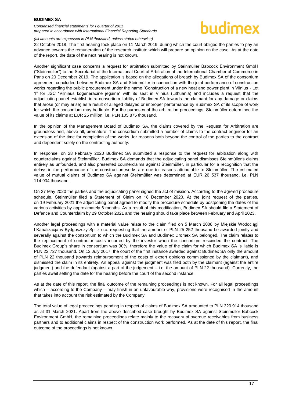#### *Condensed financial statements for I quarter of 2021 prepared in accordance with International Financial Reporting Standards*

#### *(all amounts are expressed in PLN thousand, unless stated otherwise)*

22 October 2018. The first hearing took place on 11 March 2019, during which the court obliged the parties to pay an advance towards the remuneration of the research institute which will prepare an opinion on the case. As at the date of the report, the date of the next hearing is not known.

Another significant case concerns a request for arbitration submitted by Steinmüller Babcock Environment GmbH ("Steinmüller") to the Secretariat of the International Court of Arbitration at the International Chamber of Commerce in Paris on 20 December 2019. The application is based on the allegations of breach by Budimex SA of the consortium agreement concluded between Budimex SA and Steinmüller in connection with the joint performance of construction works regarding the public procurement under the name "Construction of a new heat and power plant in Vilnius - Lot 1" for JSC "Vilniaus kogeneracine jegaine" with its seat in Vilnius (Lithuania) and includes a request that the adjudicating panel establish intra-consortium liability of Budimex SA towards the claimant for any damage or claims that arose (or may arise) as a result of alleged delayed or improper performance by Budimex SA of its scope of work for which the consortium may be liable. For the purposes of the arbitration proceedings, Steinmüller determined the value of its claims at EUR 25 million, i.e. PLN 105 875 thousand.

In the opinion of the Management Board of Budimex SA, the claims covered by the Request for Arbitration are groundless and, above all, premature. The consortium submitted a number of claims to the contract engineer for an extension of the time for completion of the works, for reasons both beyond the control of the parties to the contract and dependent solely on the contracting authority.

In response, on 28 February 2020 Budimex SA submitted a response to the request for arbitration along with counterclaims against Steinmüller. Budimex SA demands that the adjudicating panel dismisses Steinmüller's claims entirely as unfounded, and also presented counterclaims against Steinmüller, in particular for a recognition that the delays in the performance of the construction works are due to reasons attributable to Steinmüller. The estimated value of mutual claims of Budimex SA against Steinmüller was determined at EUR 26 537 thousand, i.e. PLN 114 904 thousand.

On 27 May 2020 the parties and the adjudicating panel signed the act of mission. According to the agreed procedure schedule. Steinmüller filed a Statement of Claim on 18 December 2020. At the joint request of the parties, on 19 February 2021 the adjudicating panel agreed to modify the procedure schedule by postponing the dates of the various activities by approximately 6 months. As a result of this modification, Budimex SA should file a Statement of Defence and Counterclaim by 29 October 2021 and the hearing should take place between February and April 2023.

Another legal proceedings with a material value relate to the claim filed on 5 March 2008 by Miejskie Wodociągi I Kanalizacja w Bydgoszczy Sp. z o.o. requesting that the amount of PLN 25 252 thousand be awarded jointly and severally against the consortium to which the Budimex SA and Budimex Dromex SA belonged. The claim relates to the replacement of contractor costs incurred by the investor when the consortium rescinded the contract. The Budimex Group's share in consortium was 90%, therefore the value of the claim for which Budimex SA is liable is PLN 22 727 thousand. On 12 July 2017, the court of the first instance awarded against Budimex SA only the amount of PLN 22 thousand (towards reimbursement of the costs of expert opinions commissioned by the claimant), and dismissed the claim in its entirety. An appeal against the judgment was filed both by the claimant (against the entire judgment) and the defendant (against a part of the judgement – i.e. the amount of PLN 22 thousand). Currently, the parties await setting the date for the hearing before the court of the second instance.

As at the date of this report, the final outcome of the remaining proceedings is not known. For all legal proceedings which – according to the Company – may finish in an unfavourable way, provisions were recognised in the amount that takes into account the risk estimated by the Company.

The total value of legal proceedings pending in respect of claims of Budimex SA amounted to PLN 320 914 thousand as at 31 March 2021. Apart from the above described case brought by Budimex SA against Steinmüller Babcock Environment GmbH, the remaining proceedings relate mainly to the recovery of overdue receivables from business partners and to additional claims in respect of the construction work performed. As at the date of this report, the final outcome of the proceedings is not known.